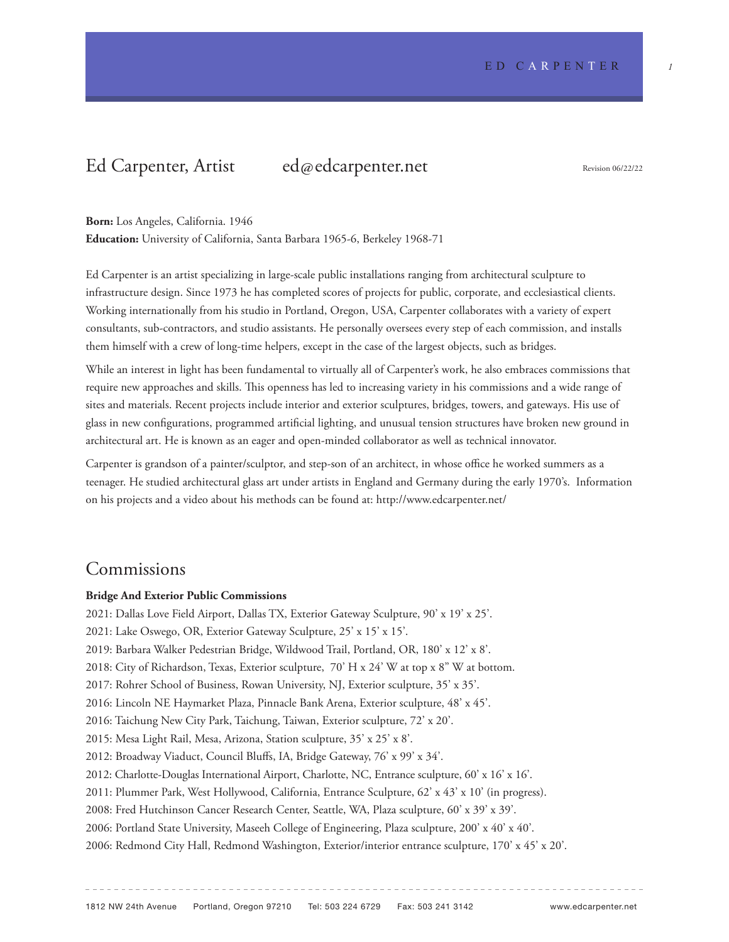# Ed Carpenter, Artist ed@edcarpenter.net

Revision 06/22/22

### **Born:** Los Angeles, California. 1946

**Education:** University of California, Santa Barbara 1965-6, Berkeley 1968-71

Ed Carpenter is an artist specializing in large-scale public installations ranging from architectural sculpture to infrastructure design. Since 1973 he has completed scores of projects for public, corporate, and ecclesiastical clients. Working internationally from his studio in Portland, Oregon, USA, Carpenter collaborates with a variety of expert consultants, sub-contractors, and studio assistants. He personally oversees every step of each commission, and installs them himself with a crew of long-time helpers, except in the case of the largest objects, such as bridges.

While an interest in light has been fundamental to virtually all of Carpenter's work, he also embraces commissions that require new approaches and skills. This openness has led to increasing variety in his commissions and a wide range of sites and materials. Recent projects include interior and exterior sculptures, bridges, towers, and gateways. His use of glass in new configurations, programmed artificial lighting, and unusual tension structures have broken new ground in architectural art. He is known as an eager and open-minded collaborator as well as technical innovator.

Carpenter is grandson of a painter/sculptor, and step-son of an architect, in whose office he worked summers as a teenager. He studied architectural glass art under artists in England and Germany during the early 1970's. Information on his projects and a video about his methods can be found at: http://www.edcarpenter.net/

### Commissions

### **Bridge And Exterior Public Commissions**

2021: Dallas Love Field Airport, Dallas TX, Exterior Gateway Sculpture, 90' x 19' x 25'. 2021: Lake Oswego, OR, Exterior Gateway Sculpture, 25' x 15' x 15'. 2019: Barbara Walker Pedestrian Bridge, Wildwood Trail, Portland, OR, 180' x 12' x 8'. 2018: City of Richardson, Texas, Exterior sculpture, 70' H x 24' W at top x 8" W at bottom. 2017: Rohrer School of Business, Rowan University, NJ, Exterior sculpture, 35' x 35'. 2016: Lincoln NE Haymarket Plaza, Pinnacle Bank Arena, Exterior sculpture, 48' x 45'. 2016: Taichung New City Park, Taichung, Taiwan, Exterior sculpture, 72' x 20'. 2015: Mesa Light Rail, Mesa, Arizona, Station sculpture, 35' x 25' x 8'. 2012: Broadway Viaduct, Council Bluffs, IA, Bridge Gateway, 76' x 99' x 34'. 2012: Charlotte-Douglas International Airport, Charlotte, NC, Entrance sculpture, 60' x 16' x 16'. 2011: Plummer Park, West Hollywood, California, Entrance Sculpture, 62' x 43' x 10' (in progress). 2008: Fred Hutchinson Cancer Research Center, Seattle, WA, Plaza sculpture, 60' x 39' x 39'. 2006: Portland State University, Maseeh College of Engineering, Plaza sculpture, 200' x 40' x 40'. 2006: Redmond City Hall, Redmond Washington, Exterior/interior entrance sculpture, 170' x 45' x 20'.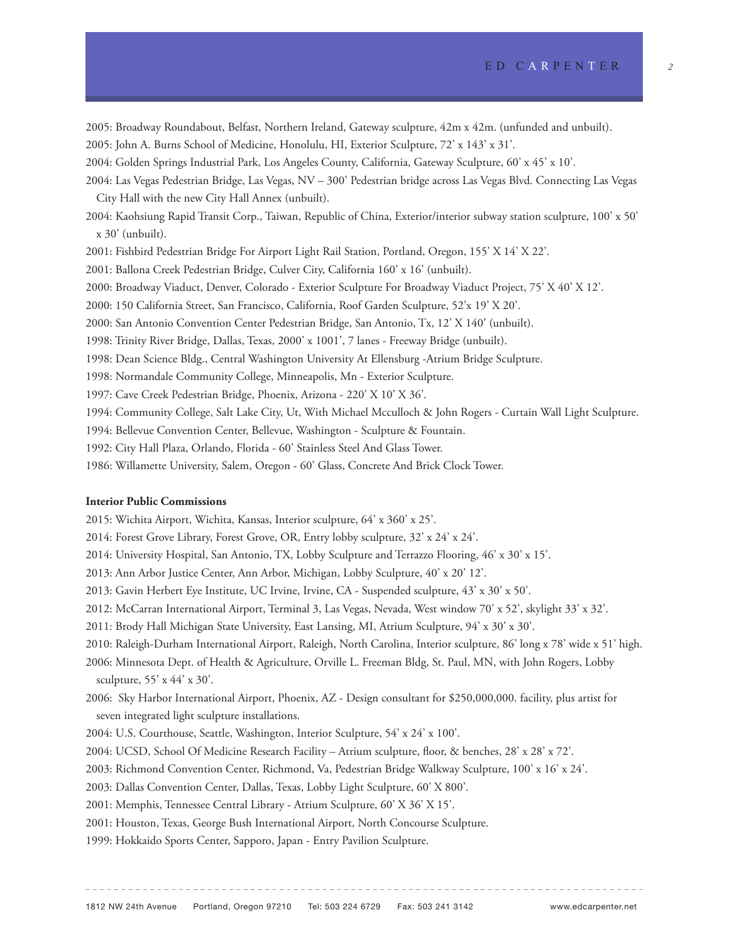2005: Broadway Roundabout, Belfast, Northern Ireland, Gateway sculpture, 42m x 42m. (unfunded and unbuilt). 2005: John A. Burns School of Medicine, Honolulu, HI, Exterior Sculpture, 72' x 143' x 31'. 2004: Golden Springs Industrial Park, Los Angeles County, California, Gateway Sculpture, 60' x 45' x 10'. 2004: Las Vegas Pedestrian Bridge, Las Vegas, NV – 300' Pedestrian bridge across Las Vegas Blvd. Connecting Las Vegas City Hall with the new City Hall Annex (unbuilt). 2004: Kaohsiung Rapid Transit Corp., Taiwan, Republic of China, Exterior/interior subway station sculpture, 100' x 50' x 30' (unbuilt). 2001: Fishbird Pedestrian Bridge For Airport Light Rail Station, Portland, Oregon, 155' X 14' X 22'. 2001: Ballona Creek Pedestrian Bridge, Culver City, California 160' x 16' (unbuilt). 2000: Broadway Viaduct, Denver, Colorado - Exterior Sculpture For Broadway Viaduct Project, 75' X 40' X 12'. 2000: 150 California Street, San Francisco, California, Roof Garden Sculpture, 52'x 19' X 20'. 2000: San Antonio Convention Center Pedestrian Bridge, San Antonio, Tx, 12' X 140' (unbuilt). 1998: Trinity River Bridge, Dallas, Texas, 2000' x 1001', 7 lanes - Freeway Bridge (unbuilt). 1998: Dean Science Bldg., Central Washington University At Ellensburg -Atrium Bridge Sculpture. 1998: Normandale Community College, Minneapolis, Mn - Exterior Sculpture. 1997: Cave Creek Pedestrian Bridge, Phoenix, Arizona - 220' X 10' X 36'. 1994: Community College, Salt Lake City, Ut, With Michael Mcculloch & John Rogers - Curtain Wall Light Sculpture. 1994: Bellevue Convention Center, Bellevue, Washington - Sculpture & Fountain. 1992: City Hall Plaza, Orlando, Florida - 60' Stainless Steel And Glass Tower. 1986: Willamette University, Salem, Oregon - 60' Glass, Concrete And Brick Clock Tower.

#### **Interior Public Commissions**

2015: Wichita Airport, Wichita, Kansas, Interior sculpture, 64' x 360' x 25'.

- 2014: Forest Grove Library, Forest Grove, OR, Entry lobby sculpture, 32' x 24' x 24'.
- 2014: University Hospital, San Antonio, TX, Lobby Sculpture and Terrazzo Flooring, 46' x 30' x 15'.
- 2013: Ann Arbor Justice Center, Ann Arbor, Michigan, Lobby Sculpture, 40' x 20' 12'.
- 2013: Gavin Herbert Eye Institute, UC Irvine, Irvine, CA Suspended sculpture, 43' x 30' x 50'.
- 2012: McCarran International Airport, Terminal 3, Las Vegas, Nevada, West window 70' x 52', skylight 33' x 32'.
- 2011: Brody Hall Michigan State University, East Lansing, MI, Atrium Sculpture, 94' x 30' x 30'.
- 2010: Raleigh-Durham International Airport, Raleigh, North Carolina, Interior sculpture, 86' long x 78' wide x 51' high.
- 2006: Minnesota Dept. of Health & Agriculture, Orville L. Freeman Bldg, St. Paul, MN, with John Rogers, Lobby sculpture, 55' x 44' x 30'.
- 2006: Sky Harbor International Airport, Phoenix, AZ Design consultant for \$250,000,000. facility, plus artist for seven integrated light sculpture installations.
- 2004: U.S. Courthouse, Seattle, Washington, Interior Sculpture, 54' x 24' x 100'.
- 2004: UCSD, School Of Medicine Research Facility Atrium sculpture, floor, & benches, 28' x 28' x 72'.
- 2003: Richmond Convention Center, Richmond, Va, Pedestrian Bridge Walkway Sculpture, 100' x 16' x 24'.
- 2003: Dallas Convention Center, Dallas, Texas, Lobby Light Sculpture, 60' X 800'.
- 2001: Memphis, Tennessee Central Library Atrium Sculpture, 60' X 36' X 15'.
- 2001: Houston, Texas, George Bush International Airport, North Concourse Sculpture.
- 1999: Hokkaido Sports Center, Sapporo, Japan Entry Pavilion Sculpture.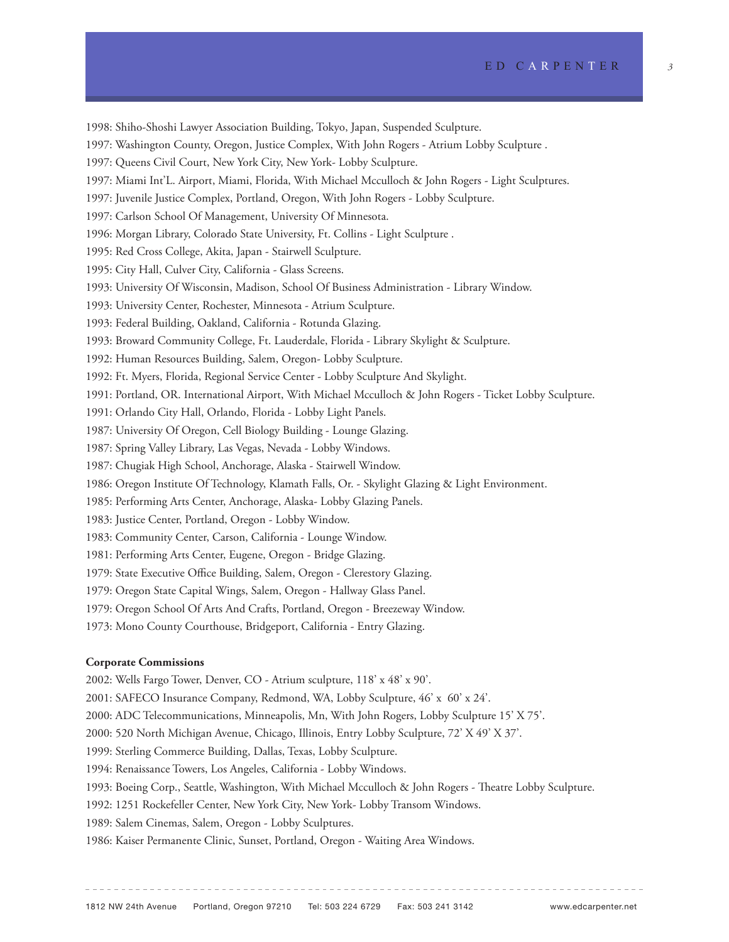1998: Shiho-Shoshi Lawyer Association Building, Tokyo, Japan, Suspended Sculpture.

1997: Washington County, Oregon, Justice Complex, With John Rogers - Atrium Lobby Sculpture .

1997: Queens Civil Court, New York City, New York- Lobby Sculpture.

1997: Miami Int'L. Airport, Miami, Florida, With Michael Mcculloch & John Rogers - Light Sculptures.

1997: Juvenile Justice Complex, Portland, Oregon, With John Rogers - Lobby Sculpture.

1997: Carlson School Of Management, University Of Minnesota.

1996: Morgan Library, Colorado State University, Ft. Collins - Light Sculpture .

1995: Red Cross College, Akita, Japan - Stairwell Sculpture.

1995: City Hall, Culver City, California - Glass Screens.

1993: University Of Wisconsin, Madison, School Of Business Administration - Library Window.

1993: University Center, Rochester, Minnesota - Atrium Sculpture.

1993: Federal Building, Oakland, California - Rotunda Glazing.

1993: Broward Community College, Ft. Lauderdale, Florida - Library Skylight & Sculpture.

1992: Human Resources Building, Salem, Oregon- Lobby Sculpture.

1992: Ft. Myers, Florida, Regional Service Center - Lobby Sculpture And Skylight.

1991: Portland, OR. International Airport, With Michael Mcculloch & John Rogers - Ticket Lobby Sculpture.

- 1991: Orlando City Hall, Orlando, Florida Lobby Light Panels.
- 1987: University Of Oregon, Cell Biology Building Lounge Glazing.
- 1987: Spring Valley Library, Las Vegas, Nevada Lobby Windows.
- 1987: Chugiak High School, Anchorage, Alaska Stairwell Window.

1986: Oregon Institute Of Technology, Klamath Falls, Or. - Skylight Glazing & Light Environment.

1985: Performing Arts Center, Anchorage, Alaska- Lobby Glazing Panels.

- 1983: Justice Center, Portland, Oregon Lobby Window.
- 1983: Community Center, Carson, California Lounge Window.
- 1981: Performing Arts Center, Eugene, Oregon Bridge Glazing.
- 1979: State Executive Office Building, Salem, Oregon Clerestory Glazing.
- 1979: Oregon State Capital Wings, Salem, Oregon Hallway Glass Panel.
- 1979: Oregon School Of Arts And Crafts, Portland, Oregon Breezeway Window.
- 1973: Mono County Courthouse, Bridgeport, California Entry Glazing.

### **Corporate Commissions**

2002: Wells Fargo Tower, Denver, CO - Atrium sculpture, 118' x 48' x 90'.

2001: SAFECO Insurance Company, Redmond, WA, Lobby Sculpture, 46' x 60' x 24'.

2000: ADC Telecommunications, Minneapolis, Mn, With John Rogers, Lobby Sculpture 15' X 75'.

2000: 520 North Michigan Avenue, Chicago, Illinois, Entry Lobby Sculpture, 72' X 49' X 37'.

1999: Sterling Commerce Building, Dallas, Texas, Lobby Sculpture.

1994: Renaissance Towers, Los Angeles, California - Lobby Windows.

1993: Boeing Corp., Seattle, Washington, With Michael Mcculloch & John Rogers - Theatre Lobby Sculpture.

1992: 1251 Rockefeller Center, New York City, New York- Lobby Transom Windows.

1989: Salem Cinemas, Salem, Oregon - Lobby Sculptures.

1986: Kaiser Permanente Clinic, Sunset, Portland, Oregon - Waiting Area Windows.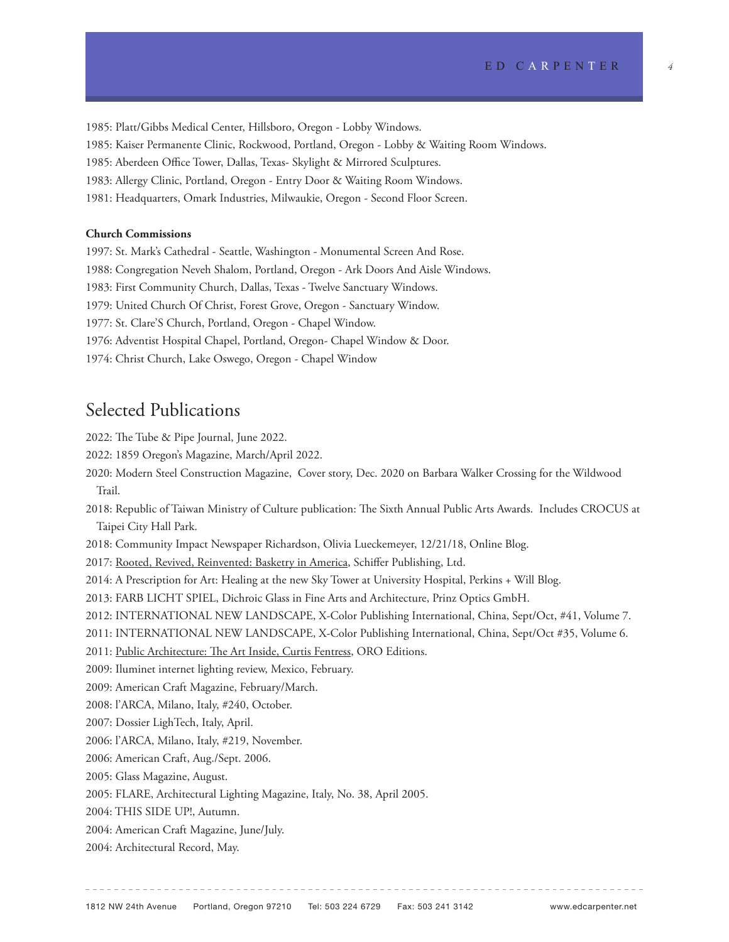1985: Platt/Gibbs Medical Center, Hillsboro, Oregon - Lobby Windows. 1985: Kaiser Permanente Clinic, Rockwood, Portland, Oregon - Lobby & Waiting Room Windows. 1985: Aberdeen Office Tower, Dallas, Texas- Skylight & Mirrored Sculptures. 1983: Allergy Clinic, Portland, Oregon - Entry Door & Waiting Room Windows. 1981: Headquarters, Omark Industries, Milwaukie, Oregon - Second Floor Screen.

### **Church Commissions**

1997: St. Mark's Cathedral - Seattle, Washington - Monumental Screen And Rose. 1988: Congregation Neveh Shalom, Portland, Oregon - Ark Doors And Aisle Windows. 1983: First Community Church, Dallas, Texas - Twelve Sanctuary Windows. 1979: United Church Of Christ, Forest Grove, Oregon - Sanctuary Window. 1977: St. Clare'S Church, Portland, Oregon - Chapel Window. 1976: Adventist Hospital Chapel, Portland, Oregon- Chapel Window & Door. 1974: Christ Church, Lake Oswego, Oregon - Chapel Window

## Selected Publications

2022: The Tube & Pipe Journal, June 2022.

2022: 1859 Oregon's Magazine, March/April 2022.

- 2020: Modern Steel Construction Magazine, Cover story, Dec. 2020 on Barbara Walker Crossing for the Wildwood Trail.
- 2018: Republic of Taiwan Ministry of Culture publication: The Sixth Annual Public Arts Awards. Includes CROCUS at Taipei City Hall Park.
- 2018: Community Impact Newspaper Richardson, Olivia Lueckemeyer, 12/21/18, Online Blog.

2017: Rooted, Revived, Reinvented: Basketry in America, Schiffer Publishing, Ltd.

2014: A Prescription for Art: Healing at the new Sky Tower at University Hospital, Perkins + Will Blog.

2013: FARB LICHT SPIEL, Dichroic Glass in Fine Arts and Architecture, Prinz Optics GmbH.

2012: INTERNATIONAL NEW LANDSCAPE, X-Color Publishing International, China, Sept/Oct, #41, Volume 7.

2011: INTERNATIONAL NEW LANDSCAPE, X-Color Publishing International, China, Sept/Oct #35, Volume 6.

2011: Public Architecture: The Art Inside, Curtis Fentress, ORO Editions.

2009: Iluminet internet lighting review, Mexico, February.

2009: American Craft Magazine, February/March.

2008: l'ARCA, Milano, Italy, #240, October.

2007: Dossier LighTech, Italy, April.

2006: l'ARCA, Milano, Italy, #219, November.

2006: American Craft, Aug./Sept. 2006.

2005: Glass Magazine, August.

2005: FLARE, Architectural Lighting Magazine, Italy, No. 38, April 2005.

2004: THIS SIDE UP!, Autumn.

2004: American Craft Magazine, June/July.

2004: Architectural Record, May.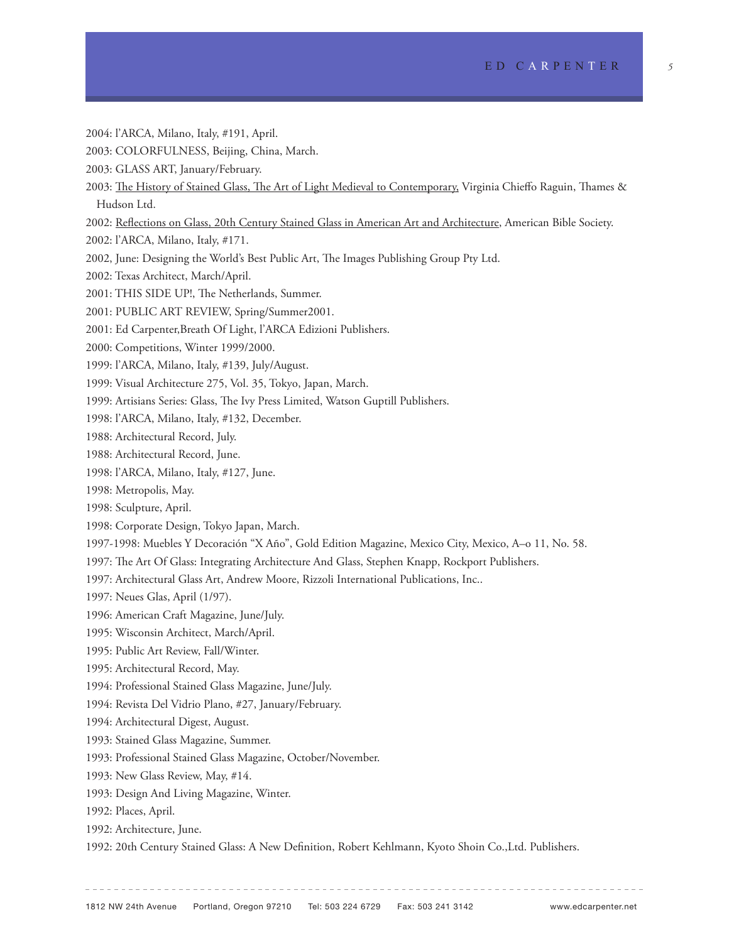- 2004: l'ARCA, Milano, Italy, #191, April.
- 2003: COLORFULNESS, Beijing, China, March.
- 2003: GLASS ART, January/February.
- 2003: The History of Stained Glass, The Art of Light Medieval to Contemporary, Virginia Chieffo Raguin, Thames & Hudson Ltd.
- 2002: Reflections on Glass, 20th Century Stained Glass in American Art and Architecture, American Bible Society.
- 2002: l'ARCA, Milano, Italy, #171.
- 2002, June: Designing the World's Best Public Art, The Images Publishing Group Pty Ltd.
- 2002: Texas Architect, March/April.
- 2001: THIS SIDE UP!, The Netherlands, Summer.
- 2001: PUBLIC ART REVIEW, Spring/Summer2001.
- 2001: Ed Carpenter,Breath Of Light, l'ARCA Edizioni Publishers.
- 2000: Competitions, Winter 1999/2000.
- 1999: l'ARCA, Milano, Italy, #139, July/August.
- 1999: Visual Architecture 275, Vol. 35, Tokyo, Japan, March.
- 1999: Artisians Series: Glass, The Ivy Press Limited, Watson Guptill Publishers.
- 1998: l'ARCA, Milano, Italy, #132, December.
- 1988: Architectural Record, July.
- 1988: Architectural Record, June.
- 1998: l'ARCA, Milano, Italy, #127, June.
- 1998: Metropolis, May.
- 1998: Sculpture, April.
- 1998: Corporate Design, Tokyo Japan, March.
- 1997-1998: Muebles Y Decoración "X Año", Gold Edition Magazine, Mexico City, Mexico, A–o 11, No. 58.
- 1997: The Art Of Glass: Integrating Architecture And Glass, Stephen Knapp, Rockport Publishers.
- 1997: Architectural Glass Art, Andrew Moore, Rizzoli International Publications, Inc..
- 1997: Neues Glas, April (1/97).
- 1996: American Craft Magazine, June/July.
- 1995: Wisconsin Architect, March/April.
- 1995: Public Art Review, Fall/Winter.
- 1995: Architectural Record, May.
- 1994: Professional Stained Glass Magazine, June/July.
- 1994: Revista Del Vidrio Plano, #27, January/February.
- 1994: Architectural Digest, August.
- 1993: Stained Glass Magazine, Summer.
- 1993: Professional Stained Glass Magazine, October/November.
- 1993: New Glass Review, May, #14.
- 1993: Design And Living Magazine, Winter.
- 1992: Places, April.
- 1992: Architecture, June.
- 1992: 20th Century Stained Glass: A New Definition, Robert Kehlmann, Kyoto Shoin Co.,Ltd. Publishers.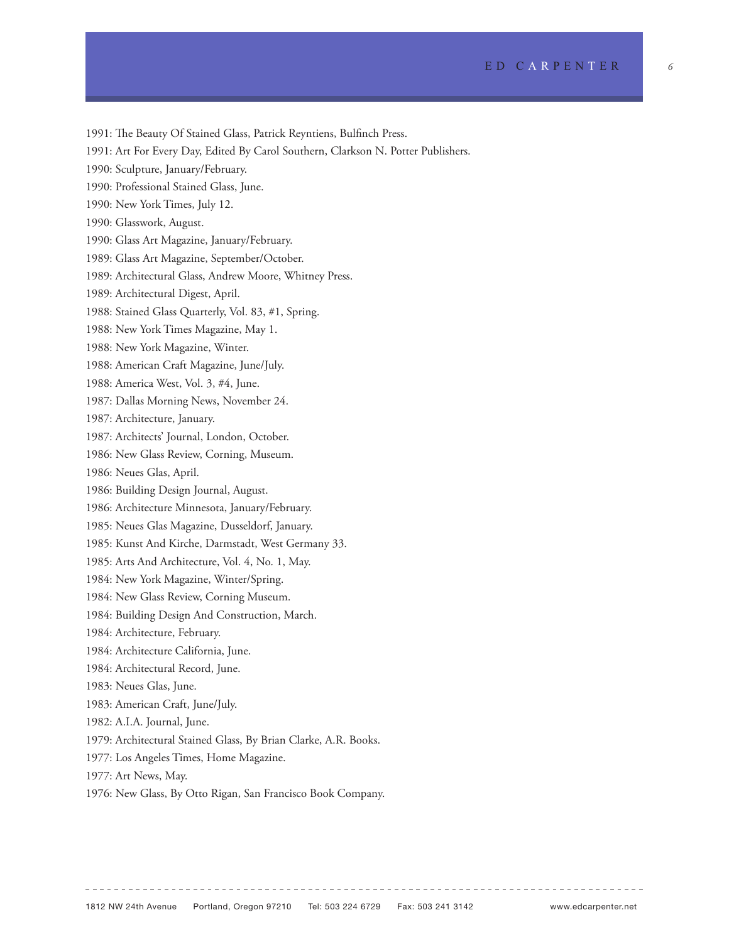1991: The Beauty Of Stained Glass, Patrick Reyntiens, Bulfinch Press. 1991: Art For Every Day, Edited By Carol Southern, Clarkson N. Potter Publishers. 1990: Sculpture, January/February. 1990: Professional Stained Glass, June. 1990: New York Times, July 12. 1990: Glasswork, August. 1990: Glass Art Magazine, January/February. 1989: Glass Art Magazine, September/October. 1989: Architectural Glass, Andrew Moore, Whitney Press. 1989: Architectural Digest, April. 1988: Stained Glass Quarterly, Vol. 83, #1, Spring. 1988: New York Times Magazine, May 1. 1988: New York Magazine, Winter. 1988: American Craft Magazine, June/July. 1988: America West, Vol. 3, #4, June. 1987: Dallas Morning News, November 24. 1987: Architecture, January. 1987: Architects' Journal, London, October. 1986: New Glass Review, Corning, Museum. 1986: Neues Glas, April. 1986: Building Design Journal, August. 1986: Architecture Minnesota, January/February. 1985: Neues Glas Magazine, Dusseldorf, January. 1985: Kunst And Kirche, Darmstadt, West Germany 33. 1985: Arts And Architecture, Vol. 4, No. 1, May. 1984: New York Magazine, Winter/Spring. 1984: New Glass Review, Corning Museum. 1984: Building Design And Construction, March. 1984: Architecture, February. 1984: Architecture California, June. 1984: Architectural Record, June. 1983: Neues Glas, June. 1983: American Craft, June/July. 1982: A.I.A. Journal, June. 1979: Architectural Stained Glass, By Brian Clarke, A.R. Books. 1977: Los Angeles Times, Home Magazine. 1977: Art News, May.

1976: New Glass, By Otto Rigan, San Francisco Book Company.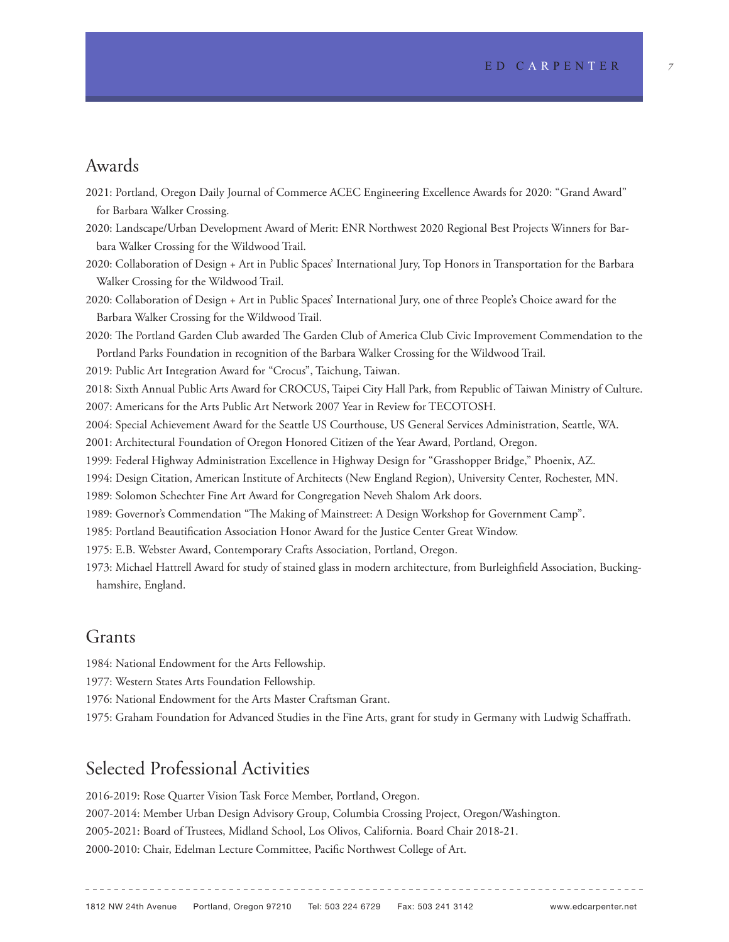## Awards

2021: Portland, Oregon Daily Journal of Commerce ACEC Engineering Excellence Awards for 2020: "Grand Award" for Barbara Walker Crossing.

2020: Landscape/Urban Development Award of Merit: ENR Northwest 2020 Regional Best Projects Winners for Barbara Walker Crossing for the Wildwood Trail.

- 2020: Collaboration of Design + Art in Public Spaces' International Jury, Top Honors in Transportation for the Barbara Walker Crossing for the Wildwood Trail.
- 2020: Collaboration of Design + Art in Public Spaces' International Jury, one of three People's Choice award for the Barbara Walker Crossing for the Wildwood Trail.

2020: The Portland Garden Club awarded The Garden Club of America Club Civic Improvement Commendation to the Portland Parks Foundation in recognition of the Barbara Walker Crossing for the Wildwood Trail.

2019: Public Art Integration Award for "Crocus", Taichung, Taiwan.

2018: Sixth Annual Public Arts Award for CROCUS, Taipei City Hall Park, from Republic of Taiwan Ministry of Culture. 2007: Americans for the Arts Public Art Network 2007 Year in Review for TECOTOSH.

2004: Special Achievement Award for the Seattle US Courthouse, US General Services Administration, Seattle, WA.

2001: Architectural Foundation of Oregon Honored Citizen of the Year Award, Portland, Oregon.

1999: Federal Highway Administration Excellence in Highway Design for "Grasshopper Bridge," Phoenix, AZ.

1994: Design Citation, American Institute of Architects (New England Region), University Center, Rochester, MN.

1989: Solomon Schechter Fine Art Award for Congregation Neveh Shalom Ark doors.

1989: Governor's Commendation "The Making of Mainstreet: A Design Workshop for Government Camp".

1985: Portland Beautification Association Honor Award for the Justice Center Great Window.

1975: E.B. Webster Award, Contemporary Crafts Association, Portland, Oregon.

1973: Michael Hattrell Award for study of stained glass in modern architecture, from Burleighfield Association, Buckinghamshire, England.

## Grants

1984: National Endowment for the Arts Fellowship.

1977: Western States Arts Foundation Fellowship.

1976: National Endowment for the Arts Master Craftsman Grant.

1975: Graham Foundation for Advanced Studies in the Fine Arts, grant for study in Germany with Ludwig Schaffrath.

## Selected Professional Activities

2016-2019: Rose Quarter Vision Task Force Member, Portland, Oregon.

2007-2014: Member Urban Design Advisory Group, Columbia Crossing Project, Oregon/Washington.

2005-2021: Board of Trustees, Midland School, Los Olivos, California. Board Chair 2018-21.

2000-2010: Chair, Edelman Lecture Committee, Pacific Northwest College of Art.